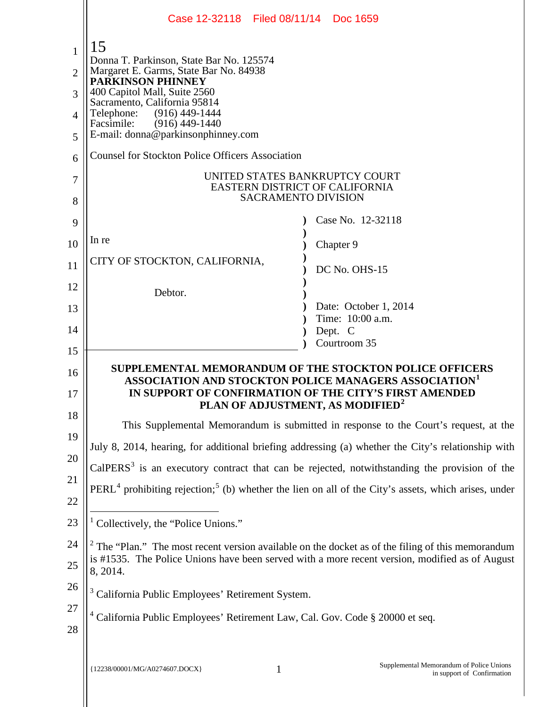|                | Case 12-32118 Filed 08/11/14 Doc 1659                                                                                                                                                                                                  |                                                                        |  |
|----------------|----------------------------------------------------------------------------------------------------------------------------------------------------------------------------------------------------------------------------------------|------------------------------------------------------------------------|--|
| 1              | 15                                                                                                                                                                                                                                     |                                                                        |  |
| 2              | Donna T. Parkinson, State Bar No. 125574<br>Margaret E. Garms, State Bar No. 84938<br><b>PARKINSON PHINNEY</b><br>400 Capitol Mall, Suite 2560                                                                                         |                                                                        |  |
| 3              |                                                                                                                                                                                                                                        |                                                                        |  |
| $\overline{A}$ | Sacramento, California 95814<br>Telephone:<br>$(916)$ 449-1444                                                                                                                                                                         |                                                                        |  |
| 5              | Facsimile:<br>$(916)$ 449-1440<br>E-mail: donna@parkinsonphinney.com                                                                                                                                                                   |                                                                        |  |
| 6              | <b>Counsel for Stockton Police Officers Association</b>                                                                                                                                                                                |                                                                        |  |
| 7              | UNITED STATES BANKRUPTCY COURT<br>EASTERN DISTRICT OF CALIFORNIA<br><b>SACRAMENTO DIVISION</b>                                                                                                                                         |                                                                        |  |
| 8              |                                                                                                                                                                                                                                        | Case No. 12-32118                                                      |  |
| 9              | In re                                                                                                                                                                                                                                  |                                                                        |  |
| 10             | CITY OF STOCKTON, CALIFORNIA,                                                                                                                                                                                                          | Chapter 9                                                              |  |
| 11             |                                                                                                                                                                                                                                        | DC No. OHS-15                                                          |  |
| 12             | Debtor.                                                                                                                                                                                                                                |                                                                        |  |
| 13             |                                                                                                                                                                                                                                        | Date: October 1, 2014<br>Time: 10:00 a.m.                              |  |
| 14             |                                                                                                                                                                                                                                        | Dept. C<br>Courtroom 35                                                |  |
| 15<br>16<br>17 | SUPPLEMENTAL MEMORANDUM OF THE STOCKTON POLICE OFFICERS<br>ASSOCIATION AND STOCKTON POLICE MANAGERS ASSOCIATION <sup>1</sup><br>IN SUPPORT OF CONFIRMATION OF THE CITY'S FIRST AMENDED<br>PLAN OF ADJUSTMENT, AS MODIFIED <sup>2</sup> |                                                                        |  |
| 18             | This Supplemental Memorandum is submitted in response to the Court's request, at the                                                                                                                                                   |                                                                        |  |
| 19             | July 8, 2014, hearing, for additional briefing addressing (a) whether the City's relationship with                                                                                                                                     |                                                                        |  |
| 20             | $CalPERS3$ is an executory contract that can be rejected, notwithstanding the provision of the                                                                                                                                         |                                                                        |  |
| 21<br>22       | $PERL4$ prohibiting rejection; <sup>5</sup> (b) whether the lien on all of the City's assets, which arises, under                                                                                                                      |                                                                        |  |
| 23             | <sup>1</sup> Collectively, the "Police Unions."                                                                                                                                                                                        |                                                                        |  |
| 24             | $2$ The "Plan." The most recent version available on the docket as of the filing of this memorandum                                                                                                                                    |                                                                        |  |
| 25             | is #1535. The Police Unions have been served with a more recent version, modified as of August<br>8, 2014.                                                                                                                             |                                                                        |  |
| 26             | <sup>3</sup> California Public Employees' Retirement System.                                                                                                                                                                           |                                                                        |  |
| 27             | <sup>4</sup> California Public Employees' Retirement Law, Cal. Gov. Code § 20000 et seq.                                                                                                                                               |                                                                        |  |
| 28             |                                                                                                                                                                                                                                        |                                                                        |  |
|                | {12238/00001/MG/A0274607.DOCX}<br>$\mathbf{1}$                                                                                                                                                                                         | Supplemental Memorandum of Police Unions<br>in support of Confirmation |  |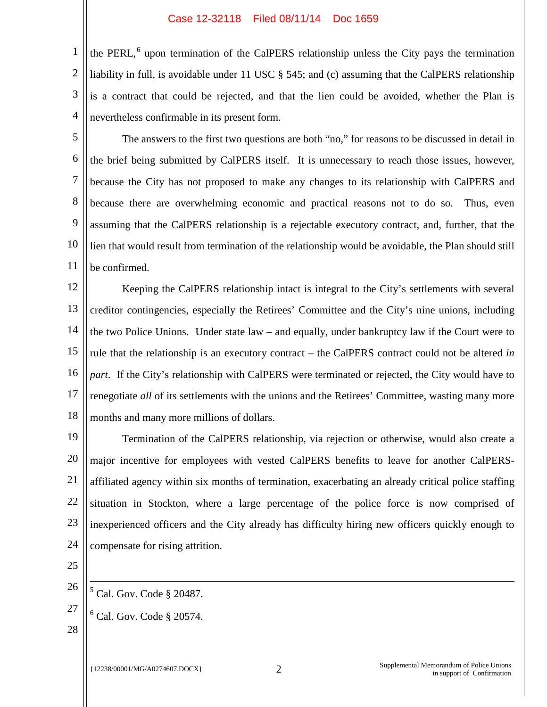1 2 3 4 the PERL,<sup>6</sup> upon termination of the CalPERS relationship unless the City pays the termination liability in full, is avoidable under 11 USC § 545; and (c) assuming that the CalPERS relationship is a contract that could be rejected, and that the lien could be avoided, whether the Plan is nevertheless confirmable in its present form.

5 6 7 8 9 10 11 The answers to the first two questions are both "no," for reasons to be discussed in detail in the brief being submitted by CalPERS itself. It is unnecessary to reach those issues, however, because the City has not proposed to make any changes to its relationship with CalPERS and because there are overwhelming economic and practical reasons not to do so. Thus, even assuming that the CalPERS relationship is a rejectable executory contract, and, further, that the lien that would result from termination of the relationship would be avoidable, the Plan should still be confirmed.

12 13 14 15 16 17 18 Keeping the CalPERS relationship intact is integral to the City's settlements with several creditor contingencies, especially the Retirees' Committee and the City's nine unions, including the two Police Unions. Under state law – and equally, under bankruptcy law if the Court were to rule that the relationship is an executory contract – the CalPERS contract could not be altered *in part*. If the City's relationship with CalPERS were terminated or rejected, the City would have to renegotiate *all* of its settlements with the unions and the Retirees' Committee, wasting many more months and many more millions of dollars.

19 20 21 22 23 24 Termination of the CalPERS relationship, via rejection or otherwise, would also create a major incentive for employees with vested CalPERS benefits to leave for another CalPERSaffiliated agency within six months of termination, exacerbating an already critical police staffing situation in Stockton, where a large percentage of the police force is now comprised of inexperienced officers and the City already has difficulty hiring new officers quickly enough to compensate for rising attrition.

25

26  $<sup>5</sup>$  Cal. Gov. Code § 20487.</sup> Ξ

 $<sup>6</sup>$  Cal. Gov. Code § 20574.</sup>

28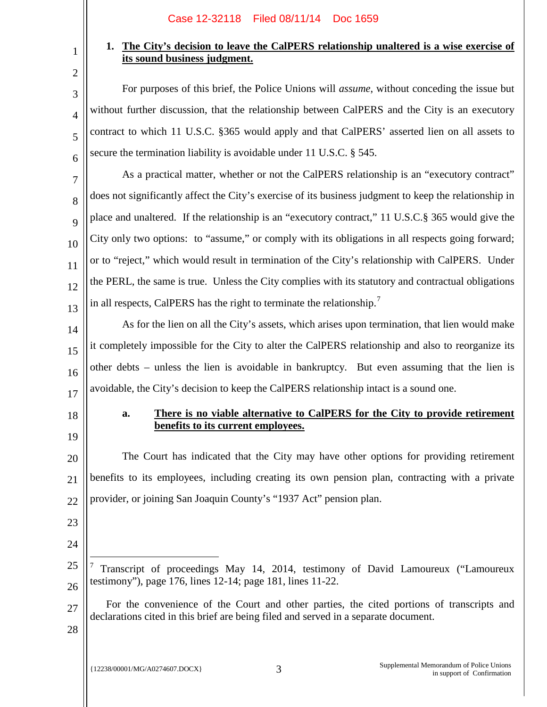# **1. The City's decision to leave the CalPERS relationship unaltered is a wise exercise of its sound business judgment.**

For purposes of this brief, the Police Unions will *assume*, without conceding the issue but without further discussion, that the relationship between CalPERS and the City is an executory contract to which 11 U.S.C. §365 would apply and that CalPERS' asserted lien on all assets to secure the termination liability is avoidable under 11 U.S.C. § 545.

7 8 9 10 11 12 13 As a practical matter, whether or not the CalPERS relationship is an "executory contract" does not significantly affect the City's exercise of its business judgment to keep the relationship in place and unaltered. If the relationship is an "executory contract," 11 U.S.C.§ 365 would give the City only two options: to "assume," or comply with its obligations in all respects going forward; or to "reject," which would result in termination of the City's relationship with CalPERS. Under the PERL, the same is true. Unless the City complies with its statutory and contractual obligations in all respects, CalPERS has the right to terminate the relationship.<sup>7</sup>

14 15 16 17 As for the lien on all the City's assets, which arises upon termination, that lien would make it completely impossible for the City to alter the CalPERS relationship and also to reorganize its other debts – unless the lien is avoidable in bankruptcy. But even assuming that the lien is avoidable, the City's decision to keep the CalPERS relationship intact is a sound one.

18

19

1

2

3

4

5

6

# **a. There is no viable alternative to CalPERS for the City to provide retirement benefits to its current employees.**

20 21 22 The Court has indicated that the City may have other options for providing retirement benefits to its employees, including creating its own pension plan, contracting with a private provider, or joining San Joaquin County's "1937 Act" pension plan.

- 23
- 24

Ξ

27 For the convenience of the Court and other parties, the cited portions of transcripts and declarations cited in this brief are being filed and served in a separate document.

<sup>25</sup> 26 <sup>7</sup> Transcript of proceedings May 14, 2014, testimony of David Lamoureux ("Lamoureux testimony"), page 176, lines 12-14; page 181, lines 11-22.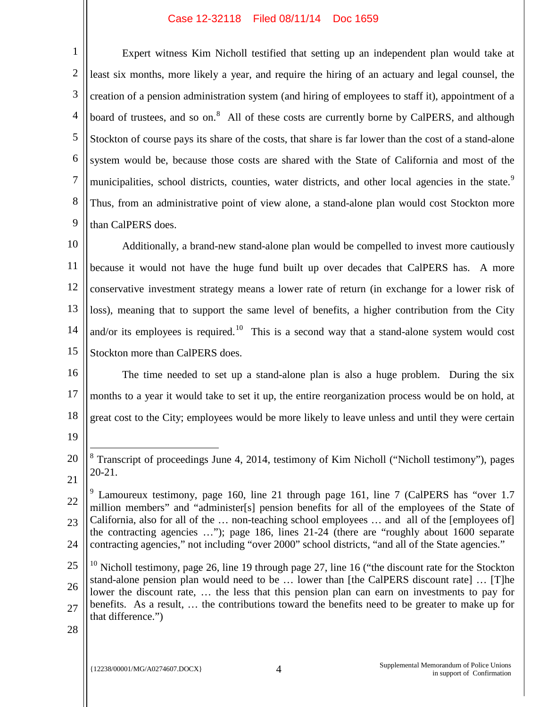2 3 4 5 6 7 8 9 Expert witness Kim Nicholl testified that setting up an independent plan would take at least six months, more likely a year, and require the hiring of an actuary and legal counsel, the creation of a pension administration system (and hiring of employees to staff it), appointment of a board of trustees, and so on.<sup>8</sup> All of these costs are currently borne by CalPERS, and although Stockton of course pays its share of the costs, that share is far lower than the cost of a stand-alone system would be, because those costs are shared with the State of California and most of the municipalities, school districts, counties, water districts, and other local agencies in the state.<sup>9</sup> Thus, from an administrative point of view alone, a stand-alone plan would cost Stockton more than CalPERS does.

10 11 12 13 14 15 Additionally, a brand-new stand-alone plan would be compelled to invest more cautiously because it would not have the huge fund built up over decades that CalPERS has. A more conservative investment strategy means a lower rate of return (in exchange for a lower risk of loss), meaning that to support the same level of benefits, a higher contribution from the City and/or its employees is required.<sup>10</sup> This is a second way that a stand-alone system would cost Stockton more than CalPERS does.

16 17 18 The time needed to set up a stand-alone plan is also a huge problem. During the six months to a year it would take to set it up, the entire reorganization process would be on hold, at great cost to the City; employees would be more likely to leave unless and until they were certain

19

Ξ

<sup>20</sup> 21  $8$  Transcript of proceedings June 4, 2014, testimony of Kim Nicholl ("Nicholl testimony"), pages 20-21.

<sup>22</sup> 23 24 <sup>9</sup> Lamoureux testimony, page 160, line 21 through page 161, line 7 (CalPERS has "over 1.7 million members" and "administer[s] pension benefits for all of the employees of the State of California, also for all of the … non-teaching school employees … and all of the [employees of] the contracting agencies …"); page 186, lines 21-24 (there are "roughly about 1600 separate contracting agencies," not including "over 2000" school districts, "and all of the State agencies."

<sup>25</sup> 26 27 <sup>10</sup> Nicholl testimony, page 26, line 19 through page 27, line 16 ("the discount rate for the Stockton" stand-alone pension plan would need to be … lower than [the CalPERS discount rate] … [T]he lower the discount rate, … the less that this pension plan can earn on investments to pay for benefits. As a result, … the contributions toward the benefits need to be greater to make up for that difference.")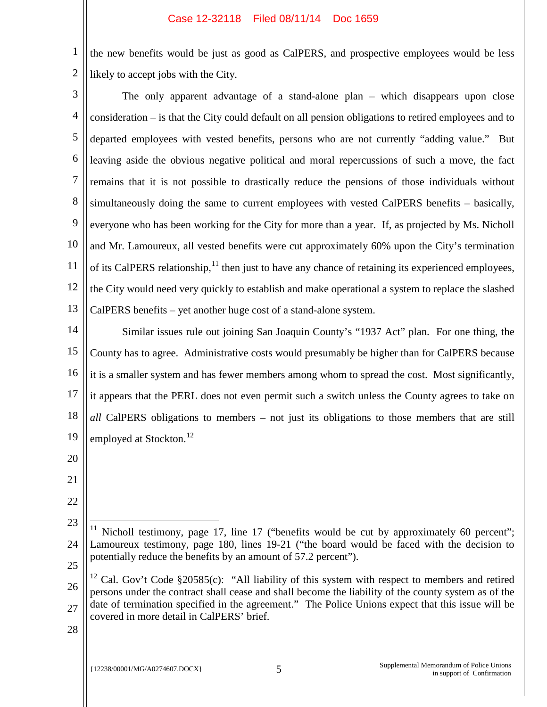1 2 the new benefits would be just as good as CalPERS, and prospective employees would be less likely to accept jobs with the City.

3 4 5 6 7 8 9 10 11 12 13 The only apparent advantage of a stand-alone plan – which disappears upon close consideration – is that the City could default on all pension obligations to retired employees and to departed employees with vested benefits, persons who are not currently "adding value." But leaving aside the obvious negative political and moral repercussions of such a move, the fact remains that it is not possible to drastically reduce the pensions of those individuals without simultaneously doing the same to current employees with vested CalPERS benefits – basically, everyone who has been working for the City for more than a year. If, as projected by Ms. Nicholl and Mr. Lamoureux, all vested benefits were cut approximately 60% upon the City's termination of its CalPERS relationship, <sup>11</sup> then just to have any chance of retaining its experienced employees, the City would need very quickly to establish and make operational a system to replace the slashed CalPERS benefits – yet another huge cost of a stand-alone system.

14 15 16 17 18 19 Similar issues rule out joining San Joaquin County's "1937 Act" plan. For one thing, the County has to agree. Administrative costs would presumably be higher than for CalPERS because it is a smaller system and has fewer members among whom to spread the cost. Most significantly, it appears that the PERL does not even permit such a switch unless the County agrees to take on *all* CalPERS obligations to members – not just its obligations to those members that are still employed at Stockton.<sup>12</sup>

20

21

- 26 27 <sup>12</sup> Cal. Gov't Code §20585(c): "All liability of this system with respect to members and retired persons under the contract shall cease and shall become the liability of the county system as of the date of termination specified in the agreement." The Police Unions expect that this issue will be covered in more detail in CalPERS' brief.
- 28

<sup>23</sup> 24 25 Nicholl testimony, page 17, line 17 ("benefits would be cut by approximately 60 percent"; Lamoureux testimony, page 180, lines 19-21 ("the board would be faced with the decision to potentially reduce the benefits by an amount of 57.2 percent"). Ξ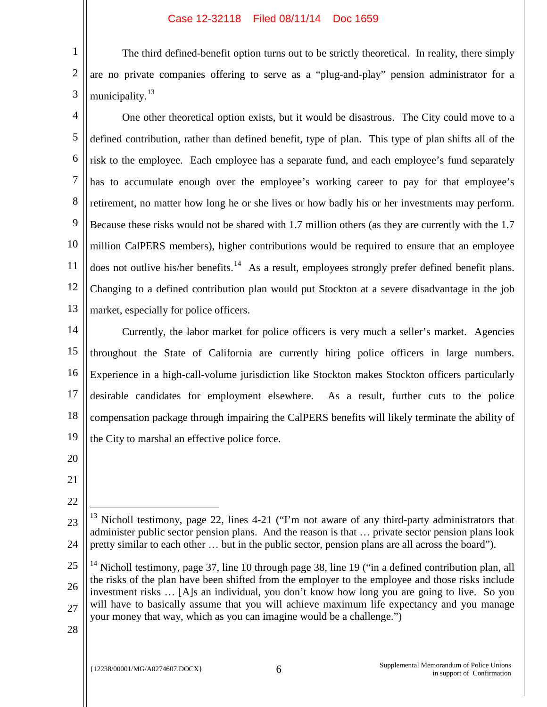1 2 3 The third defined-benefit option turns out to be strictly theoretical. In reality, there simply are no private companies offering to serve as a "plug-and-play" pension administrator for a municipality.<sup>13</sup>

4 5 6 7 8 9 10 11 12 13 One other theoretical option exists, but it would be disastrous. The City could move to a defined contribution, rather than defined benefit, type of plan. This type of plan shifts all of the risk to the employee. Each employee has a separate fund, and each employee's fund separately has to accumulate enough over the employee's working career to pay for that employee's retirement, no matter how long he or she lives or how badly his or her investments may perform. Because these risks would not be shared with 1.7 million others (as they are currently with the 1.7 million CalPERS members), higher contributions would be required to ensure that an employee does not outlive his/her benefits.<sup>14</sup> As a result, employees strongly prefer defined benefit plans. Changing to a defined contribution plan would put Stockton at a severe disadvantage in the job market, especially for police officers.

14 15 16 17 18 19 Currently, the labor market for police officers is very much a seller's market. Agencies throughout the State of California are currently hiring police officers in large numbers. Experience in a high-call-volume jurisdiction like Stockton makes Stockton officers particularly desirable candidates for employment elsewhere. As a result, further cuts to the police compensation package through impairing the CalPERS benefits will likely terminate the ability of the City to marshal an effective police force.

- 20
- 21

22

Ξ

<sup>23</sup> 24 Nicholl testimony, page 22, lines 4-21 ("I'm not aware of any third-party administrators that administer public sector pension plans. And the reason is that … private sector pension plans look pretty similar to each other … but in the public sector, pension plans are all across the board").

<sup>25</sup> 26 27 <sup>14</sup> Nicholl testimony, page 37, line 10 through page 38, line 19 ("in a defined contribution plan, all the risks of the plan have been shifted from the employer to the employee and those risks include investment risks … [A]s an individual, you don't know how long you are going to live. So you will have to basically assume that you will achieve maximum life expectancy and you manage your money that way, which as you can imagine would be a challenge.")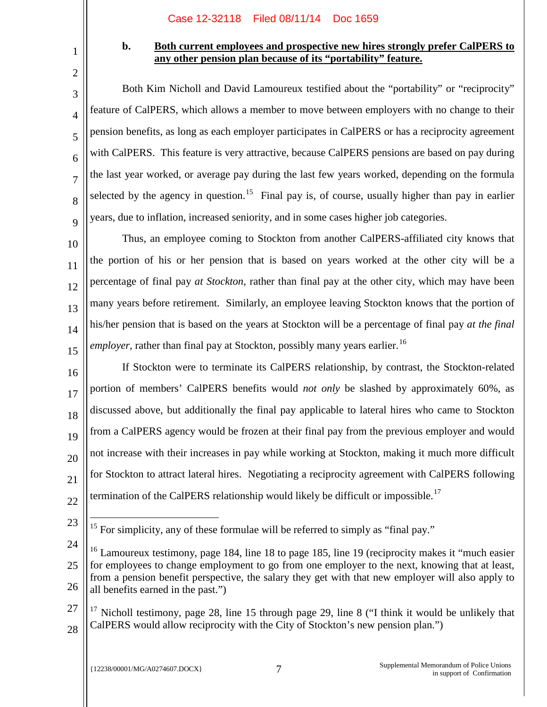# **b. Both current employees and prospective new hires strongly prefer CalPERS to any other pension plan because of its "portability" feature.**

Both Kim Nicholl and David Lamoureux testified about the "portability" or "reciprocity" feature of CalPERS, which allows a member to move between employers with no change to their pension benefits, as long as each employer participates in CalPERS or has a reciprocity agreement with CalPERS. This feature is very attractive, because CalPERS pensions are based on pay during the last year worked, or average pay during the last few years worked, depending on the formula selected by the agency in question.<sup>15</sup> Final pay is, of course, usually higher than pay in earlier years, due to inflation, increased seniority, and in some cases higher job categories.

10 11 12 13 14 15 Thus, an employee coming to Stockton from another CalPERS-affiliated city knows that the portion of his or her pension that is based on years worked at the other city will be a percentage of final pay *at Stockton*, rather than final pay at the other city, which may have been many years before retirement. Similarly, an employee leaving Stockton knows that the portion of his/her pension that is based on the years at Stockton will be a percentage of final pay *at the final employer*, rather than final pay at Stockton, possibly many years earlier.<sup>16</sup>

16 17 18 19 20 21 22 If Stockton were to terminate its CalPERS relationship, by contrast, the Stockton-related portion of members' CalPERS benefits would *not only* be slashed by approximately 60%, as discussed above, but additionally the final pay applicable to lateral hires who came to Stockton from a CalPERS agency would be frozen at their final pay from the previous employer and would not increase with their increases in pay while working at Stockton, making it much more difficult for Stockton to attract lateral hires. Negotiating a reciprocity agreement with CalPERS following termination of the CalPERS relationship would likely be difficult or impossible.<sup>17</sup>

23

Ξ

1

2

3

4

5

6

7

8

 $\overline{Q}$ 

 $15$  For simplicity, any of these formulae will be referred to simply as "final pay."

<sup>24</sup> 25 26  $16$  Lamoureux testimony, page 184, line 18 to page 185, line 19 (reciprocity makes it "much easier" for employees to change employment to go from one employer to the next, knowing that at least, from a pension benefit perspective, the salary they get with that new employer will also apply to all benefits earned in the past.")

<sup>27</sup> 28 Nicholl testimony, page 28, line 15 through page 29, line 8 ("I think it would be unlikely that CalPERS would allow reciprocity with the City of Stockton's new pension plan.")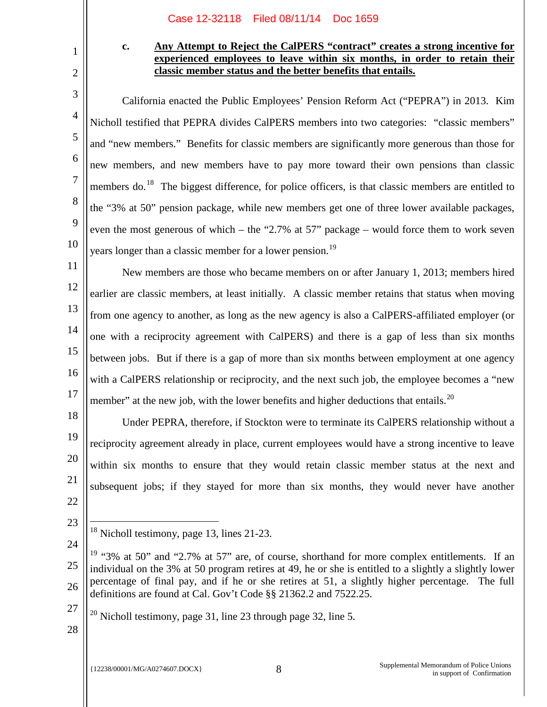# **c. Any Attempt to Reject the CalPERS "contract" creates a strong incentive for experienced employees to leave within six months, in order to retain their classic member status and the better benefits that entails.**

California enacted the Public Employees' Pension Reform Act ("PEPRA") in 2013. Kim Nicholl testified that PEPRA divides CalPERS members into two categories: "classic members" and "new members." Benefits for classic members are significantly more generous than those for new members, and new members have to pay more toward their own pensions than classic members do.<sup>18</sup> The biggest difference, for police officers, is that classic members are entitled to the "3% at 50" pension package, while new members get one of three lower available packages, even the most generous of which – the "2.7% at 57" package – would force them to work seven years longer than a classic member for a lower pension.<sup>19</sup>

11 12 13 14 15 16 17 New members are those who became members on or after January 1, 2013; members hired earlier are classic members, at least initially. A classic member retains that status when moving from one agency to another, as long as the new agency is also a CalPERS-affiliated employer (or one with a reciprocity agreement with CalPERS) and there is a gap of less than six months between jobs. But if there is a gap of more than six months between employment at one agency with a CalPERS relationship or reciprocity, and the next such job, the employee becomes a "new member" at the new job, with the lower benefits and higher deductions that entails.<sup>20</sup>

18 20 21 Under PEPRA, therefore, if Stockton were to terminate its CalPERS relationship without a reciprocity agreement already in place, current employees would have a strong incentive to leave within six months to ensure that they would retain classic member status at the next and subsequent jobs; if they stayed for more than six months, they would never have another

22 23

Ξ

24

19

1

2

3

4

5

6

7

8

9

10

27 <sup>20</sup> Nicholl testimony, page 31, line 23 through page 32, line 5.

 $18$  Nicholl testimony, page 13, lines 21-23.

<sup>25</sup> 26  $19$  "3% at 50" and "2.7% at 57" are, of course, shorthand for more complex entitlements. If an individual on the 3% at 50 program retires at 49, he or she is entitled to a slightly a slightly lower percentage of final pay, and if he or she retires at 51, a slightly higher percentage. The full definitions are found at Cal. Gov't Code §§ 21362.2 and 7522.25.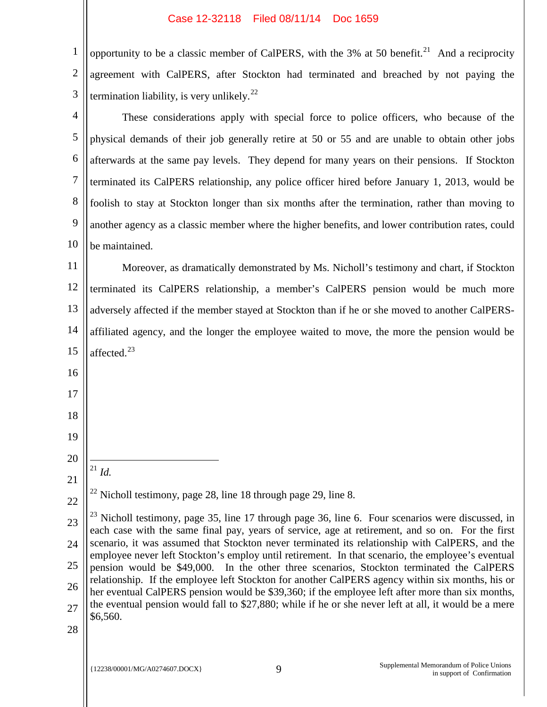opportunity to be a classic member of CalPERS, with the 3% at 50 benefit.<sup>21</sup> And a reciprocity

| $\mathfrak{2}$ | agreement with CalPERS, after Stockton had terminated and breached by not paying the                                                                                                                       |  |  |
|----------------|------------------------------------------------------------------------------------------------------------------------------------------------------------------------------------------------------------|--|--|
| 3              | termination liability, is very unlikely. $^{22}$                                                                                                                                                           |  |  |
| $\overline{4}$ | These considerations apply with special force to police officers, who because of the                                                                                                                       |  |  |
| 5              | physical demands of their job generally retire at 50 or 55 and are unable to obtain other jobs                                                                                                             |  |  |
| 6              | afterwards at the same pay levels. They depend for many years on their pensions. If Stockton                                                                                                               |  |  |
| $\tau$         | terminated its CalPERS relationship, any police officer hired before January 1, 2013, would be                                                                                                             |  |  |
| 8              | foolish to stay at Stockton longer than six months after the termination, rather than moving to                                                                                                            |  |  |
| 9              | another agency as a classic member where the higher benefits, and lower contribution rates, could                                                                                                          |  |  |
| 10             | be maintained.                                                                                                                                                                                             |  |  |
| 11             | Moreover, as dramatically demonstrated by Ms. Nicholl's testimony and chart, if Stockton                                                                                                                   |  |  |
| 12             | terminated its CalPERS relationship, a member's CalPERS pension would be much more                                                                                                                         |  |  |
| 13             | adversely affected if the member stayed at Stockton than if he or she moved to another CalPERS-                                                                                                            |  |  |
| 14             | affiliated agency, and the longer the employee waited to move, the more the pension would be                                                                                                               |  |  |
| 15             | affected. <sup>23</sup>                                                                                                                                                                                    |  |  |
| 16             |                                                                                                                                                                                                            |  |  |
| 17             |                                                                                                                                                                                                            |  |  |
| 18             |                                                                                                                                                                                                            |  |  |
| 19             |                                                                                                                                                                                                            |  |  |
| 20             |                                                                                                                                                                                                            |  |  |
| 21             | $^{21}$ Id.                                                                                                                                                                                                |  |  |
| 22             | $^{22}$ Nicholl testimony, page 28, line 18 through page 29, line 8.                                                                                                                                       |  |  |
| 23             | $^{23}$ Nicholl testimony, page 35, line 17 through page 36, line 6. Four scenarios were discussed, in<br>each case with the same final pay, years of service, age at retirement, and so on. For the first |  |  |
| 24             | scenario, it was assumed that Stockton never terminated its relationship with CalPERS, and the                                                                                                             |  |  |
| 25             | employee never left Stockton's employ until retirement. In that scenario, the employee's eventual<br>pension would be \$49,000. In the other three scenarios, Stockton terminated the CalPERS              |  |  |
| 26             | relationship. If the employee left Stockton for another CalPERS agency within six months, his or<br>her eventual CalPERS pension would be \$39,360; if the employee left after more than six months,       |  |  |
| 27             | the eventual pension would fall to \$27,880; while if he or she never left at all, it would be a mere<br>\$6,560.                                                                                          |  |  |
| 28             |                                                                                                                                                                                                            |  |  |
|                |                                                                                                                                                                                                            |  |  |
|                | Supplemental Memorandum of Police Unions<br>9<br>{12238/00001/MG/A0274607.DOCX}<br>in support of Confirmation                                                                                              |  |  |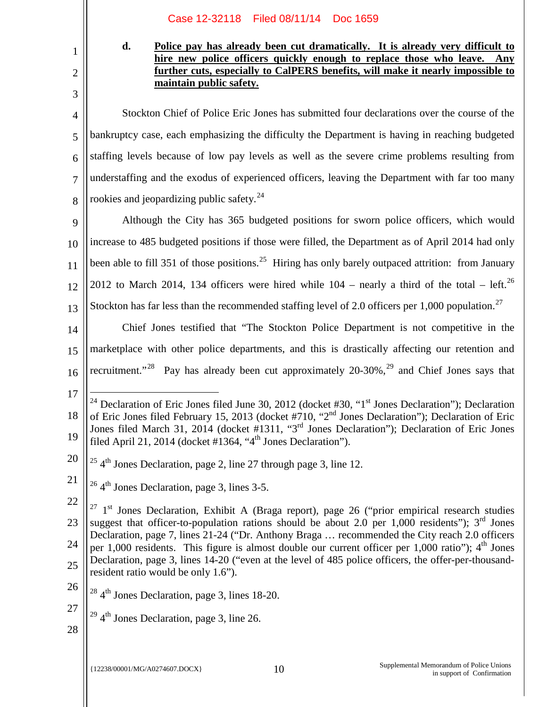## **d. Police pay has already been cut dramatically. It is already very difficult to hire new police officers quickly enough to replace those who leave. Any further cuts, especially to CalPERS benefits, will make it nearly impossible to maintain public safety.**

4 6 Stockton Chief of Police Eric Jones has submitted four declarations over the course of the bankruptcy case, each emphasizing the difficulty the Department is having in reaching budgeted staffing levels because of low pay levels as well as the severe crime problems resulting from understaffing and the exodus of experienced officers, leaving the Department with far too many rookies and jeopardizing public safety.<sup>24</sup>

9 10 11 12 13 Although the City has 365 budgeted positions for sworn police officers, which would increase to 485 budgeted positions if those were filled, the Department as of April 2014 had only been able to fill 351 of those positions.<sup>25</sup> Hiring has only barely outpaced attrition: from January 2012 to March 2014, 134 officers were hired while  $104$  – nearly a third of the total – left.<sup>26</sup> Stockton has far less than the recommended staffing level of 2.0 officers per 1,000 population.<sup>27</sup>

14 15 16 Chief Jones testified that "The Stockton Police Department is not competitive in the marketplace with other police departments, and this is drastically affecting our retention and recruitment."<sup>28</sup> Pay has already been cut approximately  $20-30\%$ , <sup>29</sup> and Chief Jones says that

17

Ξ

1

2

3

5

7

8

- 20  $254<sup>th</sup>$  Jones Declaration, page 2, line 27 through page 3, line 12.
- 21  $26$  4<sup>th</sup> Jones Declaration, page 3, lines 3-5.

- 26
- <sup>28</sup> 4th Jones Declaration, page 3, lines 18-20.
- $29$  4<sup>th</sup> Jones Declaration, page 3, line 26.
- 28

<sup>18</sup> 19 <sup>24</sup> Declaration of Eric Jones filed June 30, 2012 (docket #30, "1<sup>st</sup> Jones Declaration"); Declaration of Eric Jones filed February 15, 2013 (docket #710, "2<sup>nd</sup> Jones Declaration"); Declaration of Eric Jones filed March 31, 2014 (docket #1311, "3<sup>rd</sup> Jones Declaration"); Declaration of Eric Jones filed April 21, 2014 (docket  $\#1364$ , "4<sup>th</sup> Jones Declaration").

<sup>22</sup>

<sup>23</sup> 24 25  $27$  1<sup>st</sup> Jones Declaration, Exhibit A (Braga report), page 26 ("prior empirical research studies suggest that officer-to-population rations should be about 2.0 per 1,000 residents");  $3<sup>rd</sup>$  Jones Declaration, page 7, lines 21-24 ("Dr. Anthony Braga … recommended the City reach 2.0 officers per 1,000 residents. This figure is almost double our current officer per 1,000 ratio");  $4<sup>th</sup>$  Jones Declaration, page 3, lines 14-20 ("even at the level of 485 police officers, the offer-per-thousandresident ratio would be only 1.6").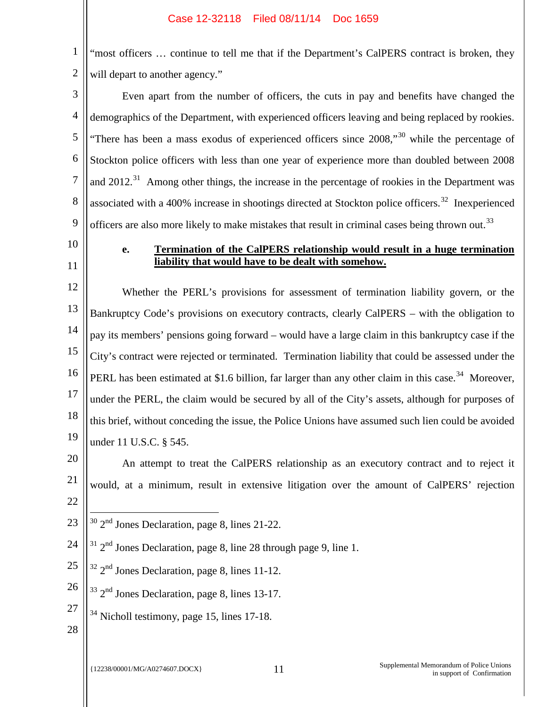1 2 "most officers ... continue to tell me that if the Department's CalPERS contract is broken, they will depart to another agency."

3 4 5 6 7 8 9 Even apart from the number of officers, the cuts in pay and benefits have changed the demographics of the Department, with experienced officers leaving and being replaced by rookies. "There has been a mass exodus of experienced officers since  $2008$ ,"<sup>30</sup> while the percentage of Stockton police officers with less than one year of experience more than doubled between 2008 and 2012.<sup>31</sup> Among other things, the increase in the percentage of rookies in the Department was associated with a 400% increase in shootings directed at Stockton police officers.<sup>32</sup> Inexperienced officers are also more likely to make mistakes that result in criminal cases being thrown out.<sup>33</sup>

- 10
- 11

## **e. Termination of the CalPERS relationship would result in a huge termination liability that would have to be dealt with somehow.**

12 13 14 15 16 17 18 19 Whether the PERL's provisions for assessment of termination liability govern, or the Bankruptcy Code's provisions on executory contracts, clearly CalPERS – with the obligation to pay its members' pensions going forward – would have a large claim in this bankruptcy case if the City's contract were rejected or terminated. Termination liability that could be assessed under the PERL has been estimated at \$1.6 billion, far larger than any other claim in this case.<sup>34</sup> Moreover, under the PERL, the claim would be secured by all of the City's assets, although for purposes of this brief, without conceding the issue, the Police Unions have assumed such lien could be avoided under 11 U.S.C. § 545.

20 21 22 An attempt to treat the CalPERS relationship as an executory contract and to reject it would, at a minimum, result in extensive litigation over the amount of CalPERS' rejection

- 23 <sup>30</sup> 2nd Jones Declaration, page 8, lines 21-22. Ξ
- 24  $31$  2<sup>nd</sup> Jones Declaration, page 8, line 28 through page 9, line 1.
- 25  $32$   $2<sup>nd</sup>$  Jones Declaration, page 8, lines 11-12.
- 26  $33 \text{ } 2^{\text{nd}}$  Jones Declaration, page 8, lines 13-17.
- 27  $34$  Nicholl testimony, page 15, lines 17-18.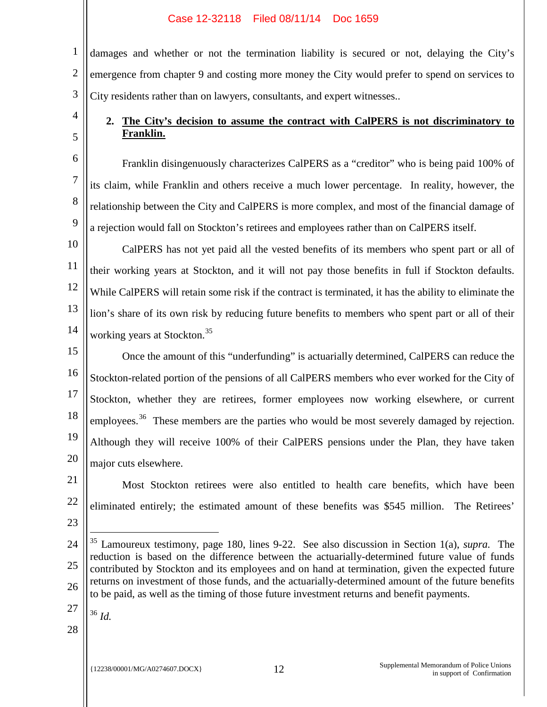1 2 3 damages and whether or not the termination liability is secured or not, delaying the City's emergence from chapter 9 and costing more money the City would prefer to spend on services to City residents rather than on lawyers, consultants, and expert witnesses..

# **2. The City's decision to assume the contract with CalPERS is not discriminatory to Franklin.**

Franklin disingenuously characterizes CalPERS as a "creditor" who is being paid 100% of its claim, while Franklin and others receive a much lower percentage. In reality, however, the relationship between the City and CalPERS is more complex, and most of the financial damage of a rejection would fall on Stockton's retirees and employees rather than on CalPERS itself.

10 11 12 13 14 CalPERS has not yet paid all the vested benefits of its members who spent part or all of their working years at Stockton, and it will not pay those benefits in full if Stockton defaults. While CalPERS will retain some risk if the contract is terminated, it has the ability to eliminate the lion's share of its own risk by reducing future benefits to members who spent part or all of their working years at Stockton.<sup>35</sup>

15 16 17 18 19 20 Once the amount of this "underfunding" is actuarially determined, CalPERS can reduce the Stockton-related portion of the pensions of all CalPERS members who ever worked for the City of Stockton, whether they are retirees, former employees now working elsewhere, or current employees.<sup>36</sup> These members are the parties who would be most severely damaged by rejection. Although they will receive 100% of their CalPERS pensions under the Plan, they have taken major cuts elsewhere.

21

Ξ

4

5

6

7

8

9

22 23 Most Stockton retirees were also entitled to health care benefits, which have been eliminated entirely; the estimated amount of these benefits was \$545 million. The Retirees'

27

<sup>36</sup> *Id.*

<sup>24</sup> 25 26 <sup>35</sup> Lamoureux testimony, page 180, lines 9-22. See also discussion in Section 1(a), *supra.* The reduction is based on the difference between the actuarially-determined future value of funds contributed by Stockton and its employees and on hand at termination, given the expected future returns on investment of those funds, and the actuarially-determined amount of the future benefits to be paid, as well as the timing of those future investment returns and benefit payments.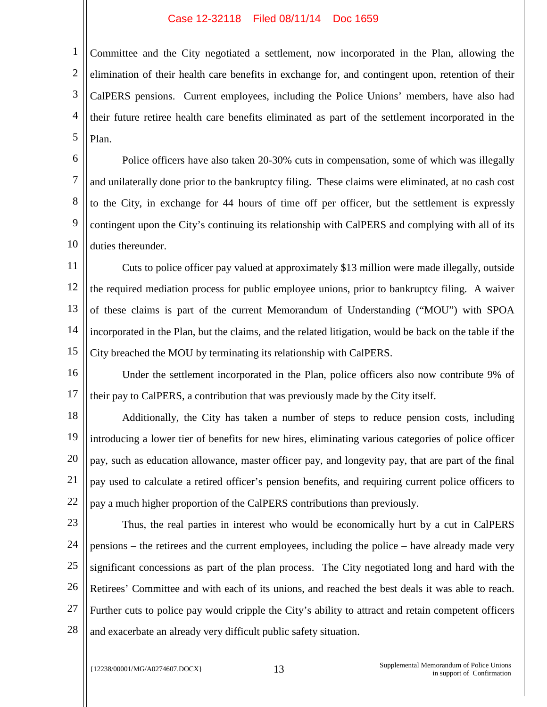1 2 3 4 5 Committee and the City negotiated a settlement, now incorporated in the Plan, allowing the elimination of their health care benefits in exchange for, and contingent upon, retention of their CalPERS pensions. Current employees, including the Police Unions' members, have also had their future retiree health care benefits eliminated as part of the settlement incorporated in the Plan.

6 7 8 10 Police officers have also taken 20-30% cuts in compensation, some of which was illegally and unilaterally done prior to the bankruptcy filing. These claims were eliminated, at no cash cost to the City, in exchange for 44 hours of time off per officer, but the settlement is expressly contingent upon the City's continuing its relationship with CalPERS and complying with all of its duties thereunder.

11 12 13 14 15 Cuts to police officer pay valued at approximately \$13 million were made illegally, outside the required mediation process for public employee unions, prior to bankruptcy filing. A waiver of these claims is part of the current Memorandum of Understanding ("MOU") with SPOA incorporated in the Plan, but the claims, and the related litigation, would be back on the table if the City breached the MOU by terminating its relationship with CalPERS.

16 17 Under the settlement incorporated in the Plan, police officers also now contribute 9% of their pay to CalPERS, a contribution that was previously made by the City itself.

18 19 20 21 22 Additionally, the City has taken a number of steps to reduce pension costs, including introducing a lower tier of benefits for new hires, eliminating various categories of police officer pay, such as education allowance, master officer pay, and longevity pay, that are part of the final pay used to calculate a retired officer's pension benefits, and requiring current police officers to pay a much higher proportion of the CalPERS contributions than previously.

23 24 25 26 27 28 Thus, the real parties in interest who would be economically hurt by a cut in CalPERS pensions – the retirees and the current employees, including the police – have already made very significant concessions as part of the plan process. The City negotiated long and hard with the Retirees' Committee and with each of its unions, and reached the best deals it was able to reach. Further cuts to police pay would cripple the City's ability to attract and retain competent officers and exacerbate an already very difficult public safety situation.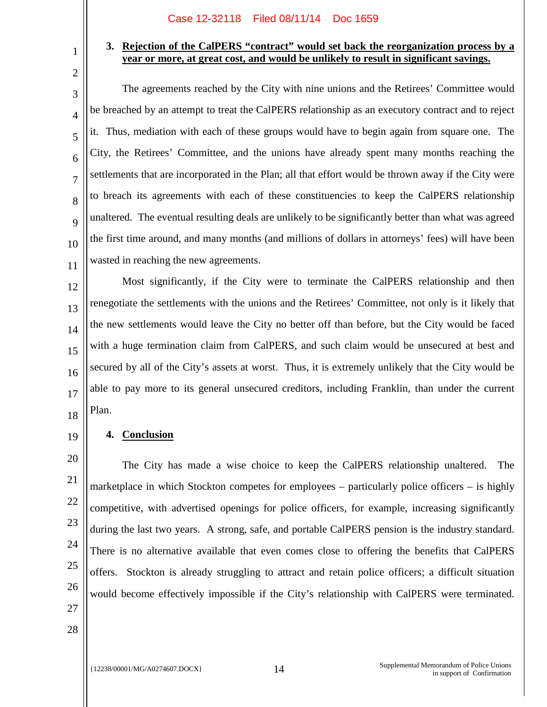# **3. Rejection of the CalPERS "contract" would set back the reorganization process by a year or more, at great cost, and would be unlikely to result in significant savings.**

3 10 The agreements reached by the City with nine unions and the Retirees' Committee would be breached by an attempt to treat the CalPERS relationship as an executory contract and to reject it. Thus, mediation with each of these groups would have to begin again from square one. The City, the Retirees' Committee, and the unions have already spent many months reaching the settlements that are incorporated in the Plan; all that effort would be thrown away if the City were to breach its agreements with each of these constituencies to keep the CalPERS relationship unaltered. The eventual resulting deals are unlikely to be significantly better than what was agreed the first time around, and many months (and millions of dollars in attorneys' fees) will have been wasted in reaching the new agreements.

12 13 14 15 16 17 18 Most significantly, if the City were to terminate the CalPERS relationship and then renegotiate the settlements with the unions and the Retirees' Committee, not only is it likely that the new settlements would leave the City no better off than before, but the City would be faced with a huge termination claim from CalPERS, and such claim would be unsecured at best and secured by all of the City's assets at worst. Thus, it is extremely unlikely that the City would be able to pay more to its general unsecured creditors, including Franklin, than under the current Plan.

**4. Conclusion**

20 22 23 The City has made a wise choice to keep the CalPERS relationship unaltered. The marketplace in which Stockton competes for employees – particularly police officers – is highly competitive, with advertised openings for police officers, for example, increasing significantly during the last two years. A strong, safe, and portable CalPERS pension is the industry standard. There is no alternative available that even comes close to offering the benefits that CalPERS offers. Stockton is already struggling to attract and retain police officers; a difficult situation would become effectively impossible if the City's relationship with CalPERS were terminated.

27 28

1

2

4

5

6

7

8

9

11

19

21

24

25